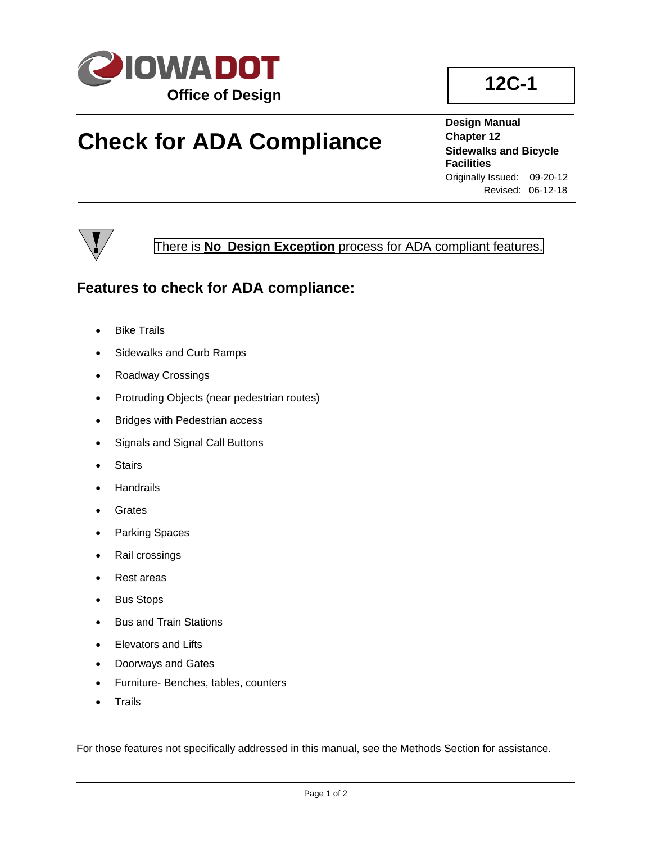

## **Check for ADA Compliance**

**Design Manual Chapter 12 Sidewalks and Bicycle Facilities** Originally Issued: 09-20-12 Revised: 06-12-18



There is **No Design Exception** process for ADA compliant features.

## **Features to check for ADA compliance:**

- Bike Trails
- Sidewalks and Curb Ramps
- Roadway Crossings
- Protruding Objects (near pedestrian routes)
- Bridges with Pedestrian access
- Signals and Signal Call Buttons
- **Stairs**
- **Handrails**
- **Grates**
- Parking Spaces
- Rail crossings
- Rest areas
- **Bus Stops**
- Bus and Train Stations
- Elevators and Lifts
- Doorways and Gates
- Furniture- Benches, tables, counters
- **Trails**

For those features not specifically addressed in this manual, see the Methods Section for assistance.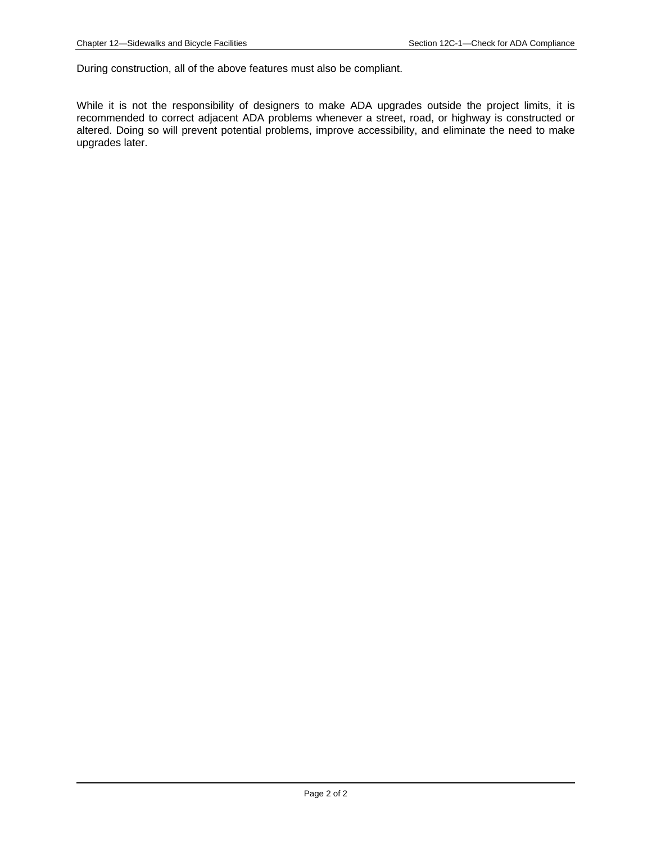During construction, all of the above features must also be compliant.

While it is not the responsibility of designers to make ADA upgrades outside the project limits, it is recommended to correct adjacent ADA problems whenever a street, road, or highway is constructed or altered. Doing so will prevent potential problems, improve accessibility, and eliminate the need to make upgrades later.